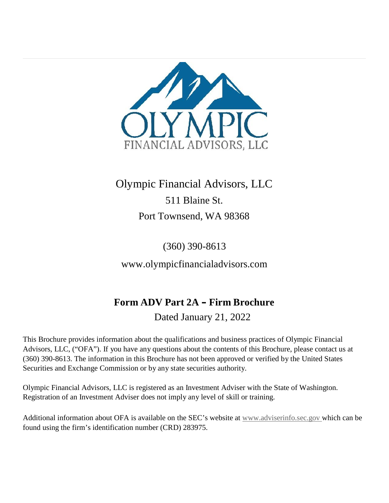

### Olympic Financial Advisors, LLC 511 Blaine St. Port Townsend, WA 98368

(360) 390-8613

www.olympicfinancialadvisors.com

### **Form ADV Part 2A – Firm Brochure** Dated January 21, 2022

This Brochure provides information about the qualifications and business practices of Olympic Financial Advisors, LLC, ("OFA"). If you have any questions about the contents of this Brochure, please contact us at (360) 390-8613. The information in this Brochure has not been approved or verified by the United States Securities and Exchange Commission or by any state securities authority.

Olympic Financial Advisors, LLC is registered as an Investment Adviser with the State of Washington. Registration of an Investment Adviser does not imply any level of skill or training.

Additional information about OFA is available on the SEC's website at www.adviserinfo.sec.gov which can be found using the firm's identification number (CRD) 283975.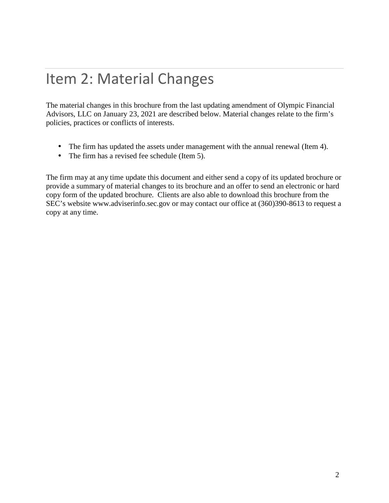## Item 2: Material Changes

The material changes in this brochure from the last updating amendment of Olympic Financial Advisors, LLC on January 23, 2021 are described below. Material changes relate to the firm's policies, practices or conflicts of interests.

 The firm has updated the assets under management with the annual renewal (Item 4).  $\overline{1}$  The firm has a revised fee schedule (Item 5).

The firm mayat any time update this document and either send a copy of its updated brochure or provide a summary of material changes to its brochure and an offer to send an electronic or hard copy form of the updated brochure. Clients are also able to download this brochure from the SEC's website www.adviserinfo.sec.gov or may contact our office at (360)390-8613 to request a copy at any time.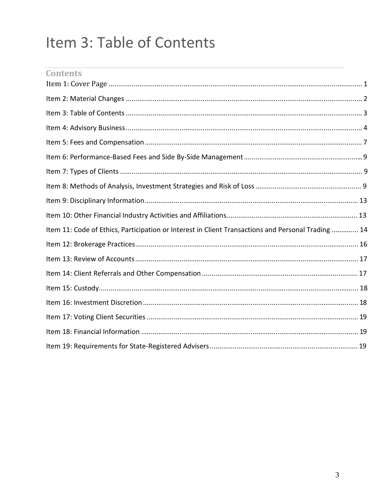# Item 3: Table of Contents

| <b>Contents</b>                                                                                   |  |
|---------------------------------------------------------------------------------------------------|--|
|                                                                                                   |  |
|                                                                                                   |  |
|                                                                                                   |  |
|                                                                                                   |  |
|                                                                                                   |  |
|                                                                                                   |  |
|                                                                                                   |  |
|                                                                                                   |  |
|                                                                                                   |  |
|                                                                                                   |  |
| Item 11: Code of Ethics, Participation or Interest in Client Transactions and Personal Trading 14 |  |
|                                                                                                   |  |
|                                                                                                   |  |
|                                                                                                   |  |
|                                                                                                   |  |
|                                                                                                   |  |
|                                                                                                   |  |
|                                                                                                   |  |
|                                                                                                   |  |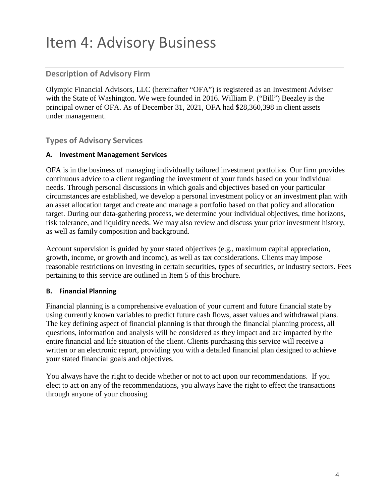## Item 4: Advisory Business

#### **Description of Advisory Firm**

Olympic Financial Advisors, LLC (hereinafter "OFA") is registered as an Investment Adviser with the State of Washington. We were founded in 2016. William P. ("Bill") Beezley is the principal owner of OFA. As of December 31, 2021, OFA had \$28,360,398 in client assets under management.

#### **Types of Advisory Services**

#### **A. Investment Management Services**

OFA is in the business of managing individually tailored investment portfolios. Our firm provides continuous advice to a client regarding the investment of your funds based on your individual needs. Through personal discussions in which goals and objectives based on your particular circumstances are established, we develop a personal investment policy or an investment plan with an asset allocation target and create and manage a portfolio based on that policy and allocation target. During our data-gathering process, we determine your individual objectives, time horizons, risk tolerance, and liquidity needs. We may also review and discuss your prior investment history, as well as family composition and background.

Account supervision is guided by your stated objectives (e.g., maximum capital appreciation, growth, income, or growth and income), as well as tax considerations. Clients may impose reasonable restrictions on investing in certain securities, types of securities, or industry sectors. Fees pertaining to this service are outlined in Item 5 of this brochure.

#### **B. Financial Planning**

Financial planning is a comprehensive evaluation of your current and future financial state by using currently known variables to predict future cash flows, asset values and withdrawal plans. The key defining aspect of financial planning is that through the financial planning process, all questions, information and analysis will be considered as they impact and are impacted by the entire financial and life situation of the client. Clients purchasing this service will receive a written or an electronic report, providing you with a detailed financial plan designed to achieve your stated financial goals and objectives.

You always have the right to decide whether or not to act upon our recommendations. If you elect to act on any of the recommendations, you always have the right to effect the transactions through anyone of your choosing.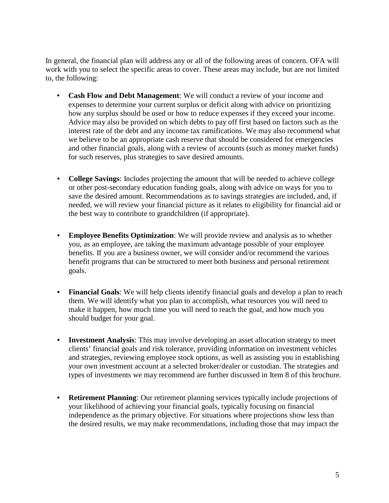In general, the financial plan will address any or all of the following areas of concern. OFA will work with you to select the specific areas to cover. These areas may include, but are not limited to, the following:

- **Cash Flow and Debt Management**: We will conduct a review of your income and expenses to determine your current surplus or deficit along with advice on prioritizing how any surplus should be used or how to reduce expenses if they exceed your income. Advice may also be provided on which debts to pay off first based on factors such as the interest rate of the debt and any income tax ramifications. We may also recommend what we believe to be an appropriate cash reserve that should be considered for emergencies and other financial goals, along with a review of accounts (such as money market funds) for such reserves, plus strategies to save desired amounts.
- **College Savings**: Includes projecting the amount that will be needed to achieve college or other post-secondary education funding goals, along with advice on ways for you to save the desired amount. Recommendations as to savings strategies are included, and, if needed, we will review your financial picture as itrelates to eligibility for financial aid or the best way to contribute to grandchildren (if appropriate).
- **Employee Benefits Optimization**: We will provide review and analysis as to whether you, as an employee, are taking the maximum advantage possible of your employee benefits. If you are a business owner, we will consider and/or recommend the various benefit programs that can be structured to meet both business and personal retirement goals.
- **Financial Goals**: We will help clients identify financial goals and develop a plan to reach them. We will identify what you plan to accomplish, what resources you will need to make it happen, how much time you will need to reach the goal, and how much you should budget for your goal.
- **Investment Analysis**: This may involve developing an asset allocation strategy to meet clients' financial goals and risk tolerance, providing information on investment vehicles and strategies, reviewing employee stock options, as well as assisting you in establishing your own investment account at a selected broker/dealer or custodian. The strategies and types of investments we may recommend are further discussed in Item 8 of this brochure.
- **Retirement Planning**: Our retirement planning services typically include projections of your likelihood of achieving your financial goals, typically focusing on financial independence as the primary objective. For situations where projections show less than the desired results, we may make recommendations, including those that may impact the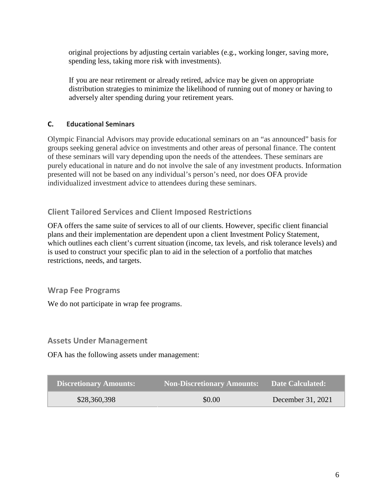original projections by adjusting certain variables (e.g., working longer, saving more, spending less, taking more risk with investments).

If you are near retirement or already retired, advice may be given on appropriate distribution strategies to minimize the likelihood of running out of money or having to adversely alter spending during your retirement years.

#### **C. Educational Seminars**

Olympic Financial Advisors may provide educational seminars on an "as announced" basis for groups seeking general advice on investments and other areas of personal finance. The content of these seminars will vary depending upon the needs of the attendees. These seminars are purely educational in nature and do not involve the sale of any investment products. Information presented will not be based on any individual's person's need, nor does OFA provide individualized investment advice to attendees during these seminars.

#### **Client Tailored Services and Client Imposed Restrictions**

OFA offers the same suite of services to all of our clients. However, specific client financial plans and their implementation are dependent upon a client Investment Policy Statement, which outlines each client's current situation (income, tax levels, and risk tolerance levels) and is used to construct your specific plan to aid in the selection of a portfolio that matches restrictions, needs, and targets.

#### **Wrap Fee Programs**

We do not participate in wrap fee programs.

#### **Assets Under Management**

OFA has the following assets under management:

| <b>Discretionary Amounts:</b> | <b>Non-Discretionary Amounts:</b> | <b>Date Calculated:</b> |
|-------------------------------|-----------------------------------|-------------------------|
| \$28,360,398                  | \$0.00                            | December 31, 2021       |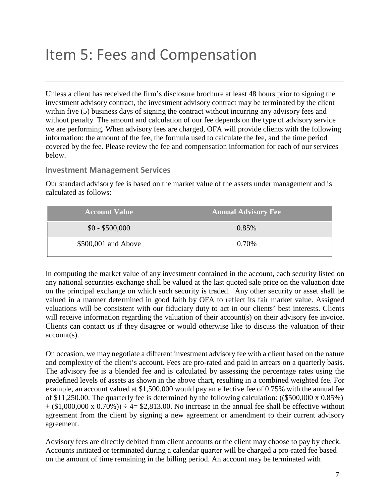## Item 5: Fees and Compensation

Unless a client has received the firm's disclosure brochure at least 48 hours prior to signing the investment advisory contract, the investment advisory contract may be terminated by the client within five (5) business days of signing the contract without incurring any advisory fees and without penalty. The amount and calculation of our fee depends on the type of advisory service we are performing. When advisory fees are charged, OFA will provide clients with the following information: the amount of the fee, the formula used to calculate the fee, and the time period covered by the fee. Please review the fee and compensation information for each of our services below.

#### **Investment Management Services**

Our standard advisory fee is based on the market value of the assets under management and is calculated as follows:

| <b>Account Value</b> | <b>Annual Advisory Fee</b> |
|----------------------|----------------------------|
| $$0 - $500,000$      | 0.85%                      |
| \$500,001 and Above  | 0.70%                      |

In computing the market value of any investment contained in the account, each security listed on any national securities exchange shall be valued at the last quoted sale price on the valuation date on the principal exchange on which such security is traded. Any other security or asset shall be valued in a manner determined in good faith by OFA to reflect its fair market value. Assigned valuations will be consistent with our fiduciary duty to act in our clients' best interests. Clients will receive information regarding the valuation of their account(s) on their advisory fee invoice. Clients can contact us if they disagree or would otherwise like to discuss the valuation of their account(s).

On occasion, we may negotiate a different investment advisory fee with a client based on the nature and complexity of the client's account. Fees are pro-rated and paid in arrears on a quarterly basis. The advisory fee is a blended fee and is calculated by assessing the percentage rates using the predefined levels of assets as shown in the above chart, resulting in a combined weighted fee. For example, an account valued at \$1,500,000 would pay an effective fee of 0.75% with the annual fee of \$11,250.00. The quarterly fee is determined by the following calculation: ((\$500,000 x 0.85%)  $+(\$1,000,000 \times 0.70%) \div 4= \$2,813.00$ . No increase in the annual fee shall be effective without agreement from the client by signing a new agreement or amendment to their current advisory agreement.

Advisory fees are directly debited from client accounts or the client may choose to pay by check. Accounts initiated or terminated during a calendar quarter will be charged a pro-rated fee based on the amount of time remaining in the billing period. An account may be terminated with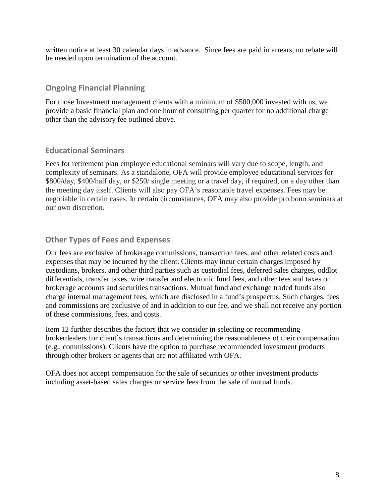written notice at least 30 calendar days in advance. Since fees are paid in arrears, no rebate will be needed upon termination of the account.

#### **Ongoing Financial Planning**

For those Investment management clients with a minimum of \$500,000 invested with us, we provide a basic financial plan and one hour of consulting per quarter for no additional charge other than the advisory fee outlined above.

#### **Educational Seminars**

Fees for retirement plan employee educational seminars will vary due to scope, length, and complexity of seminars. As a standalone, OFA will provide employee educational services for \$800/day, \$400/half day, or \$250/ single meeting or a travel day, if required, on a day other than the meeting day itself. Clients will also pay OFA's reasonable travel expenses. Fees may be negotiable in certain cases. In certain circumstances, OFA may also provide pro bono seminars at our own discretion.

#### **Other Types of Fees and Expenses**

Our fees are exclusive of brokerage commissions, transaction fees, and other related costs and expenses that may be incurred by the client. Clients may incur certain charges imposed by custodians, brokers, and other third parties such as custodial fees, deferred sales charges, oddlot differentials, transfer taxes, wire transfer and electronic fund fees, and other fees and taxes on brokerage accounts and securities transactions. Mutual fund and exchange traded funds also charge internal management fees, which are disclosed in a fund's prospectus. Such charges, fees and commissions are exclusive of and in addition to our fee, and we shall not receive any portion of these commissions, fees, and costs.

Item 12 further describes the factors that we consider in selecting or recommending brokerdealers for client's transactions and determining the reasonableness of their compensation (e.g., commissions). Clients have the option to purchase recommended investment products through other brokers or agents that are not affiliated with OFA.

OFA does not accept compensation for the sale of securities or other investment products including asset-based sales charges or service fees from the sale of mutual funds.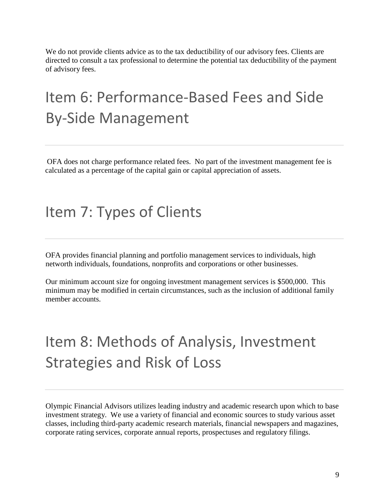We do not provide clients advice as to the tax deductibility of our advisory fees. Clients are directed to consult a tax professional to determine the potential tax deductibility of the payment of advisory fees.

## Item 6: Performance-Based Fees and Side By-Side Management

OFA does not charge performance related fees. No part of the investment management fee is calculated as a percentage of the capital gain or capital appreciation of assets.

### Item 7: Types of Clients

OFA provides financial planning and portfolio management services to individuals, high networth individuals, foundations, nonprofits and corporations or other businesses.

Our minimum account size for ongoing investment management services is \$500,000. This minimum may be modified in certain circumstances, such as the inclusion of additional family member accounts.

# Item 8: Methods of Analysis, Investment Strategies and Risk of Loss

Olympic Financial Advisors utilizes leading industry and academic research upon which to base investment strategy. We use a variety of financial and economic sources to study various asset classes, including third-party academic research materials, financial newspapers and magazines, corporate rating services, corporate annual reports, prospectuses and regulatory filings.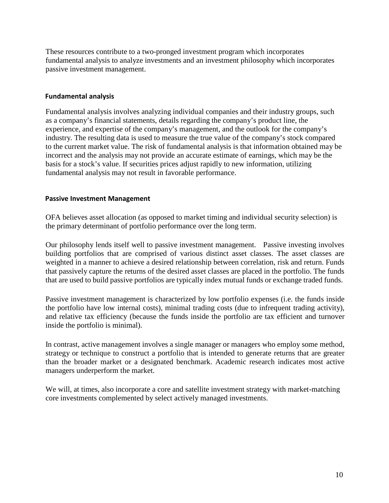These resources contribute to a two-pronged investment program which incorporates fundamental analysis to analyze investments and an investment philosophy which incorporates passive investment management.

#### **Fundamental analysis**

Fundamental analysis involves analyzing individual companies and their industry groups, such as a company's financial statements, details regarding the company's product line, the experience, and expertise of the company's management, and the outlook for the company's industry. The resulting data is used to measure the true value of the company's stock compared to the current market value. The risk of fundamental analysis is that information obtained may be incorrect and the analysis may not provide an accurate estimate of earnings, which may be the basis for a stock's value. If securities prices adjust rapidly to new information, utilizing fundamental analysis may not result in favorable performance.

#### **Passive Investment Management**

OFA believes asset allocation (as opposed to market timing and individual security selection) is the primary determinant of portfolio performance over the long term.

Our philosophy lends itself well to passive investment management. Passive investing involves building portfolios that are comprised of various distinct asset classes. The asset classes are weighted in a manner to achieve a desired relationship between correlation, risk and return. Funds that passively capture the returns of the desired asset classes are placed in the portfolio. The funds that are used to build passive portfolios are typically index mutual funds or exchange traded funds.

Passive investment management is characterized by low portfolio expenses (i.e. the funds inside the portfolio have low internal costs), minimal trading costs (due to infrequent trading activity), and relative tax efficiency (because the funds inside the portfolio are tax efficient and turnover inside the portfolio is minimal).

In contrast, active management involves a single manager or managers who employ some method, strategy or technique to construct a portfolio that is intended to generate returns that are greater than the broader market or a designated benchmark. Academic research indicates most active managers underperform the market.

We will, at times, also incorporate a core and satellite investment strategy with market-matching core investments complemented by select actively managed investments.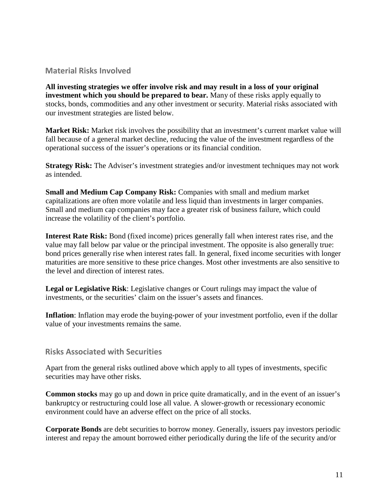#### **Material Risks Involved**

**All investing strategies we offer involve risk and may result in a loss of your original investment which you should be prepared to bear.** Many of these risks apply equally to stocks, bonds, commodities and any other investment or security. Material risks associated with our investment strategies are listed below.

**Market Risk:** Market risk involves the possibility that an investment's current market value will fall because of a general market decline, reducing the value of the investment regardless of the operational success of the issuer's operations or its financial condition.

**Strategy Risk:** The Adviser's investment strategies and/or investment techniques may not work as intended.

**Small and Medium Cap Company Risk:** Companies with small and medium market capitalizations are often more volatile and less liquid than investments in larger companies. Small and medium cap companies may face a greater risk of business failure, which could increase the volatility of the client's portfolio.

**Interest Rate Risk:** Bond (fixed income) prices generally fallwhen interest rates rise, and the value may fall below par value or the principal investment. The opposite is also generally true: bond prices generally rise when interest rates fall. In general, fixed income securities with longer maturities are more sensitive to these price changes. Most other investments are also sensitive to the level and direction of interest rates.

**Legal or Legislative Risk**: Legislative changes or Court rulings may impact the value of investments, or the securities' claim on the issuer's assets and finances.

**Inflation**: Inflation may erode the buying-power of your investment portfolio, even if the dollar value of your investments remains the same.

#### **Risks Associated with Securities**

Apart from the general risks outlined above which apply to all types of investments, specific securities may have other risks.

**Common stocks** may go up and down in price quite dramatically, and in the event of an issuer's bankruptcy or restructuring could lose all value. A slower-growth or recessionary economic environment could have an adverse effect on the price of all stocks.

**Corporate Bonds** are debt securities to borrow money. Generally, issuers pay investors periodic interest and repay the amount borrowed either periodically during the life of the security and/or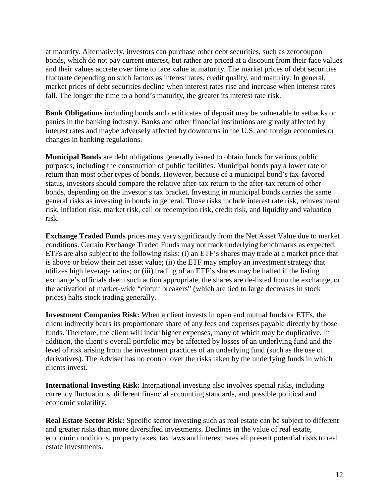at maturity. Alternatively, investors can purchase other debt securities, such as zerocoupon bonds, which do not pay current interest, but rather are priced at a discount from their face values and their values accrete over time to face value at maturity. The market prices of debt securities fluctuate depending on such factors as interest rates, credit quality, and maturity. In general, market prices of debt securities decline when interest rates rise and increase when interest rates fall. The longer the time to a bond's maturity, the greater its interest rate risk.

**Bank Obligations** including bonds and certificates of deposit may be vulnerable to setbacks or panics in the banking industry. Banks and other financial institutions are greatly affected by interest rates and maybe adversely affected by downturns in the U.S. and foreign economies or changes in banking regulations.

**Municipal Bonds** are debt obligations generally issued to obtain funds for various public purposes, including the construction of public facilities. Municipal bonds pay a lower rate of return than most other types of bonds. However, because of a municipal bond's tax-favored status, investors should compare the relative after-tax return to the after-tax return of other bonds, depending on the investor's tax bracket. Investing in municipal bonds carries the same general risks as investing in bonds in general. Those risks include interest rate risk, reinvestment risk, inflation risk, market risk, call or redemption risk, credit risk, and liquidity and valuation risk.

**Exchange Traded Funds** prices may vary significantly from the Net Asset Value due to market conditions. Certain Exchange Traded Funds may not track underlying benchmarks as expected. ETFs are also subject to the following risks: (i) an ETF's shares may trade at a market price that is above or below their net asset value; (ii) the ETF may employ an investment strategy that utilizes high leverage ratios; or (iii) trading of an ETF's shares may be halted if the listing exchange's officials deem such action appropriate, the shares are de-listed from the exchange, or the activation of market-wide "circuit breakers" (which are tied to large decreases in stock prices) halts stock trading generally.

**Investment Companies Risk:** When a client invests in open end mutual funds or ETFs, the client indirectly bears its proportionate share of any fees and expenses payable directly by those funds. Therefore, the client will incur higher expenses, many of which may be duplicative. In addition, the client's overall portfolio may be affected by losses of an underlying fund and the level of risk arising from the investment practices of an underlying fund (such as the use of derivatives). The Adviser has no control over the risks taken by the underlying funds in which clients invest.

**International Investing Risk:** International investing also involves special risks, including currency fluctuations, different financial accounting standards, and possible political and economic volatility.

**Real Estate Sector Risk:** Specific sector investing such as real estate can be subject to different and greater risks than more diversified investments. Declines in the value of real estate, economic conditions, property taxes, tax laws and interest rates all present potential risks to real estate investments.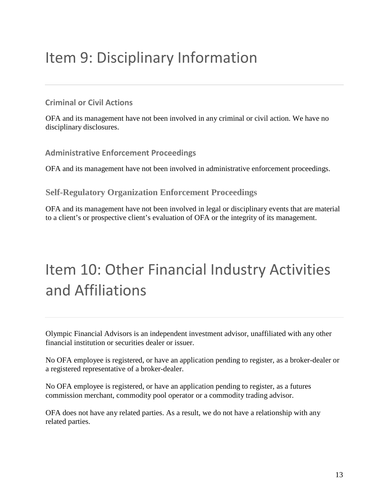## Item 9: Disciplinary Information

#### **Criminal or Civil Actions**

OFA and its management have not been involved in any criminal or civil action. We have no disciplinary disclosures.

#### **Administrative Enforcement Proceedings**

OFA and its management have not been involved in administrative enforcement proceedings.

#### **Self-Regulatory Organization Enforcement Proceedings**

OFA and its management have not been involved in legal or disciplinary events that are material to a client's or prospective client's evaluation of OFA or the integrity of its management.

# Item 10: Other Financial Industry Activities and Affiliations

Olympic Financial Advisors is an independent investment advisor, unaffiliated with any other financial institution or securities dealer or issuer.

No OFA employee is registered, or have an application pending to register, as a broker-dealer or a registered representative of a broker-dealer.

No OFA employee is registered, or have an application pending to register, as a futures commission merchant, commodity pool operator or a commodity trading advisor.

OFA does not have any related parties. As a result, we do not have a relationship with any related parties.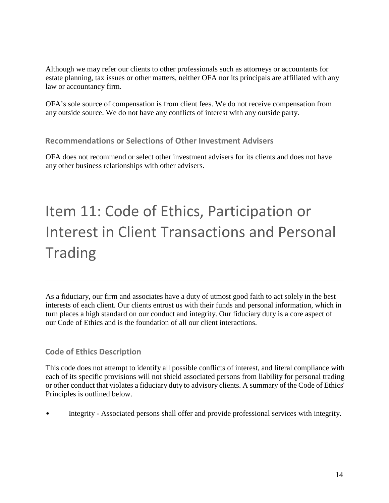Although we may refer our clients to other professionals such as attorneys or accountants for estate planning, tax issues or other matters, neither OFA nor its principals are affiliated with any law or accountancy firm.

OFA's sole source of compensation is from client fees. We do not receive compensation from any outside source. We do not have any conflicts of interest with any outside party.

#### **Recommendations or Selections of Other Investment Advisers**

OFA does not recommend or select other investment advisers for its clients and does not have any other business relationships with other advisers.

# Item 11: Code of Ethics, Participation or Interest in Client Transactions and Personal Trading

As a fiduciary, our firm and associates have a duty of utmost good faith to act solely in the best interests of each client. Our clients entrust us with their funds and personal information, which in turn places a high standard on our conduct and integrity. Our fiduciary duty is a core aspect of our Code of Ethics and is the foundation of all our client interactions.

#### **Code of Ethics Description**

This code does not attempt to identify all possible conflicts of interest, and literal compliance with each of its specific provisions will not shield associated persons from liability for personal trading or other conduct that violates a fiduciary duty to advisory clients. A summary of the Code of Ethics' Principles is outlined below.

• Integrity - Associated persons shall offer and provide professional services with integrity.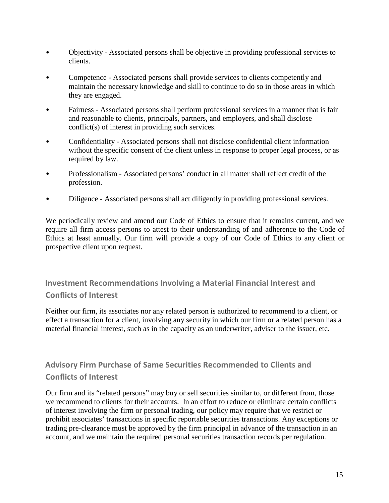- Objectivity Associated persons shall be objective in providing professional services to clients.
- Competence Associated persons shall provide services to clients competently and maintain the necessary knowledge and skill to continue to do so in those areas in which they are engaged.
- Fairness Associated persons shall perform professional services in a manner that is fair and reasonable to clients, principals, partners, and employers, and shall disclose conflict(s) of interest in providing such services.
- Confidentiality Associated persons shall not disclose confidential client information without the specific consent of the client unless in response to proper legal process, or as required by law.
- Professionalism Associated persons' conduct in all matter shall reflect credit of the profession.
- Diligence Associated persons shall act diligently in providing professional services.

We periodically review and amend our Code of Ethics to ensure that it remains current, and we require all firm access persons to attest to their understanding of and adherence to the Code of Ethics at least annually. Our firm will provide a copy of our Code of Ethics to any client or prospective client upon request.

**Investment Recommendations Involving a Material Financial Interest and Conflicts of Interest**

Neither our firm, its associates nor any related person is authorized to recommend to a client, or effect a transaction for a client, involving any security in which our firm or a related person has a material financial interest, such as in the capacity as an underwriter, adviser to the issuer, etc.

#### **Advisory Firm Purchase of Same Securities Recommended to Clients and Conflicts of Interest**

Our firm and its "related persons" may buy or sell securities similar to, or different from, those we recommend to clients for their accounts. In an effort to reduce or eliminate certain conflicts of interest involving the firm or personal trading, our policy may require that we restrict or prohibit associates' transactions in specific reportable securities transactions. Any exceptions or trading pre-clearance must be approved by the firm principal in advance of the transaction in an account, and we maintain the required personal securities transaction records per regulation.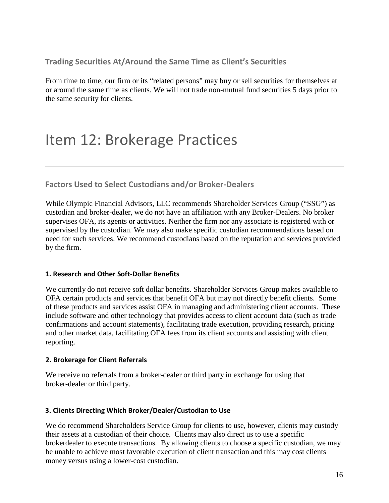**Trading Securities At/Around the Same Time as Client's Securities**

From time to time, our firm or its "related persons" may buy or sell securities for themselves at or around the same time as clients. We will not trade non-mutual fund securities 5 days prior to the same security for clients.

## Item 12: Brokerage Practices

**Factors Used to Select Custodians and/or Broker-Dealers**

While Olympic Financial Advisors, LLC recommends Shareholder Services Group ("SSG") as custodian and broker-dealer, we do not have an affiliation with any Broker-Dealers. No broker supervises OFA, its agents or activities. Neither the firm nor any associate is registered with or supervised by the custodian. We may also make specific custodian recommendations based on need for such services. We recommend custodians based on the reputation and services provided by the firm.

#### **1. Research and Other Soft-Dollar Benefits**

We currently do not receive soft dollar benefits. Shareholder Services Group makes available to OFA certain products and services that benefit OFA but may not directly benefit clients. Some of these products and services assist OFA in managing and administering client accounts. These include software and other technology that provides access to client account data (such as trade confirmations and account statements), facilitating trade execution, providing research, pricing and other market data, facilitating OFA fees from its client accounts and assisting with client reporting.

#### **2. Brokerage for Client Referrals**

We receive no referrals from a broker-dealer or third party in exchange for using that broker-dealer or third party.

#### **3. Clients Directing Which Broker/Dealer/Custodian to Use**

We do recommend Shareholders Service Group for clients to use, however, clients may custody their assets at a custodian of their choice. Clients may also direct us to use a specific brokerdealer to execute transactions. By allowing clients to choose a specific custodian, we may be unable to achieve most favorable execution of client transaction and this may cost clients money versus using a lower-cost custodian.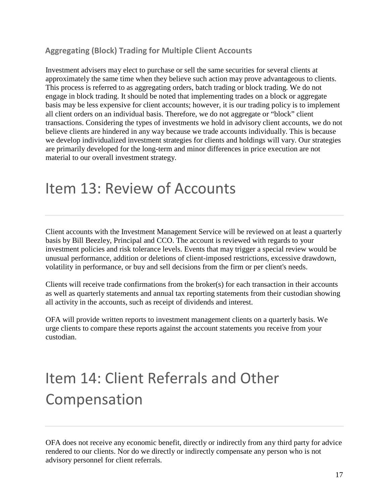#### **Aggregating (Block) Trading for Multiple Client Accounts**

Investment advisers may elect to purchase or sell the same securities for several clients at approximately the same time when they believe such action may prove advantageous to clients. This process is referred to as aggregating orders, batch trading or block trading. We do not engage in block trading. It should be noted that implementing trades on a block or aggregate basis may be less expensive for client accounts; however, it is our trading policy is to implement all client orders on an individual basis. Therefore, we do not aggregate or "block" client transactions. Considering the types of investments we hold in advisory client accounts, we do not believe clients are hindered in any way because we trade accounts individually. This is because we develop individualized investment strategies for clients and holdings will vary. Our strategies are primarily developed for the long-term and minor differences in price execution are not material to our overall investment strategy.

### Item 13: Review of Accounts

Client accounts with the Investment Management Service will be reviewed on at least a quarterly basis by Bill Beezley, Principal and CCO. The account is reviewed with regards to your investment policies and risk tolerance levels. Events that may trigger a special review would be unusual performance, addition or deletions of client-imposed restrictions, excessive drawdown, volatility in performance, or buy and sell decisions from the firm or per client's needs.

Clients will receive trade confirmations from the broker(s) for each transaction in their accounts as well as quarterly statements and annual tax reporting statements from their custodian showing all activity in the accounts, such as receipt of dividends and interest.

OFA will provide written reports to investment management clients on a quarterly basis. We urge clients to compare these reports against the account statements you receive from your custodian.

# Item 14: Client Referrals and Other Compensation

OFA does not receive any economic benefit, directly or indirectly from any third party for advice rendered to our clients. Nor do we directly or indirectly compensate any person who is not advisory personnel for client referrals.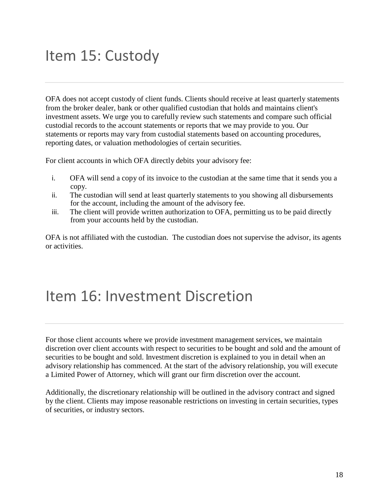## Item 15: Custody

OFA does not accept custody of client funds. Clients should receive at least quarterly statements from the broker dealer, bank or other qualified custodian that holds and maintains client's investment assets. We urge you to carefully review such statements and compare such official custodial records to the account statements or reports that we may provide to you. Our statements or reports may vary from custodial statements based on accounting procedures, reporting dates, or valuation methodologies of certain securities.

For client accounts in which OFA directly debits your advisory fee:

- i. OFA will send a copy of its invoice to the custodian at the same time that it sends you a copy.
- ii. The custodian will send at least quarterly statements to you showing all disbursements for the account, including the amount of the advisory fee.
- iii. The client will provide written authorization to OFA, permitting us to be paid directly from your accounts held by the custodian.

OFA is not affiliated with the custodian. The custodian does not supervise the advisor, its agents or activities.

### Item 16: Investment Discretion

For those client accounts where we provide investment management services, we maintain discretion over client accounts with respect to securities to be bought and sold and the amount of securities to be bought and sold. Investment discretion is explained to you in detail when an advisory relationship has commenced. At the start of the advisory relationship, you will execute a Limited Power of Attorney, which will grant our firm discretion over the account.

Additionally, the discretionary relationship will be outlined in the advisory contract and signed by the client. Clients may impose reasonable restrictions on investing in certain securities, types of securities, or industry sectors.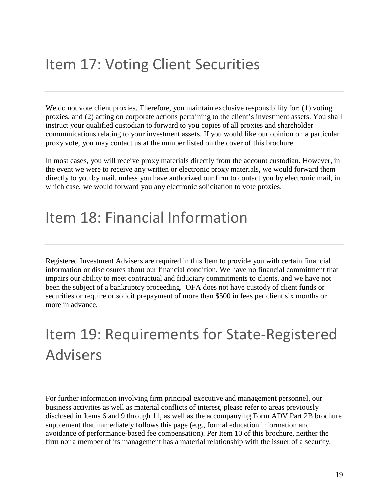## Item 17: Voting Client Securities

We do not vote client proxies. Therefore, you maintain exclusive responsibility for: (1) voting proxies, and (2) acting on corporate actions pertaining to the client's investment assets. You shall instruct your qualified custodian to forward to you copies of all proxies and shareholder communications relating to your investment assets. If you would like our opinion on a particular proxy vote, you may contact us at the number listed on the cover of this brochure.

In most cases, you will receive proxy materials directly from the account custodian. However, in the event we were to receive any written or electronic proxy materials, we would forward them directly to you by mail, unless you have authorized our firm to contact you by electronic mail, in which case, we would forward you any electronic solicitation to vote proxies.

### Item 18: Financial Information

Registered Investment Advisers are required in this Item to provide you with certain financial information or disclosures about our financial condition. We have no financial commitment that impairs our ability to meet contractual and fiduciary commitments to clients, and we have not been the subject of a bankruptcy proceeding. OFA does not have custody of client funds or securities or require or solicit prepayment of more than \$500 in fees per client six months or more in advance.

# Item 19: Requirements for State-Registered Advisers

For further information involving firm principal executive and management personnel, our business activities as well as material conflicts of interest, please refer to areas previously disclosed in Items 6 and 9 through 11, as well as the accompanying Form ADV Part 2B brochure supplement that immediately follows this page (e.g., formal education information and avoidance of performance-based fee compensation). Per Item 10 of this brochure, neither the firm nor a member of its management has a material relationship with the issuer of a security.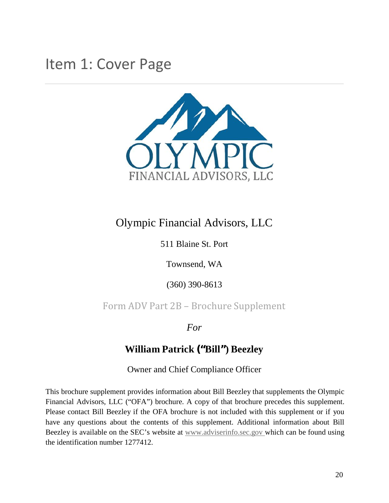### Item 1: Cover Page



### Olympic Financial Advisors, LLC

511 Blaine St. Port

Townsend, WA

(360) 390-8613

Form ADV Part 2B – Brochure Supplement

*For*

#### **William Patrick ("Bill") Beezley**

Owner and Chief Compliance Officer

This brochure supplement provides information about Bill Beezley that supplements the Olympic Financial Advisors, LLC ("OFA") brochure. A copy of that brochure precedes this supplement. Please contact Bill Beezley if the OFA brochure is not included with this supplement or if you have any questions about the contents of this supplement. Additional information about Bill Beezley is available on the SEC's website at www.adviserinfo.sec.gov which can be found using the identification number 1277412.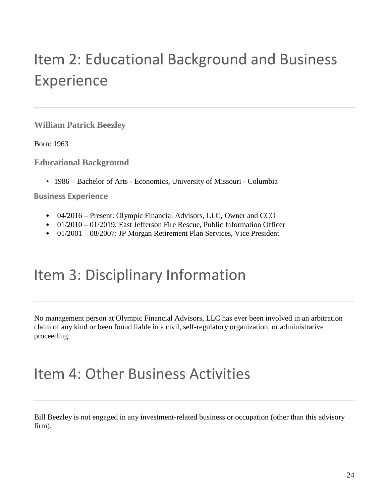# Item 2: Educational Background and Business Experience

**William Patrick Beezley**

Born: 1963

**Educational Background**

• 1986 – Bachelor of Arts - Economics, University of Missouri - Columbia

**Business Experience**

- 04/2016 Present: Olympic Financial Advisors, LLC, Owner and CCO
- 01/2010 01/2019: East Jefferson Fire Rescue, Public Information Officer
- 01/2001 08/2007: JP Morgan Retirement Plan Services, Vice President

### Item 3: Disciplinary Information

No management person at Olympic Financial Advisors, LLC has ever been involved in an arbitration claim of any kind or been found liable in a civil, self-regulatory organization, or administrative proceeding.

### Item 4: Other Business Activities

Bill Beezley is not engaged in any investment-related business or occupation (other than this advisory firm).